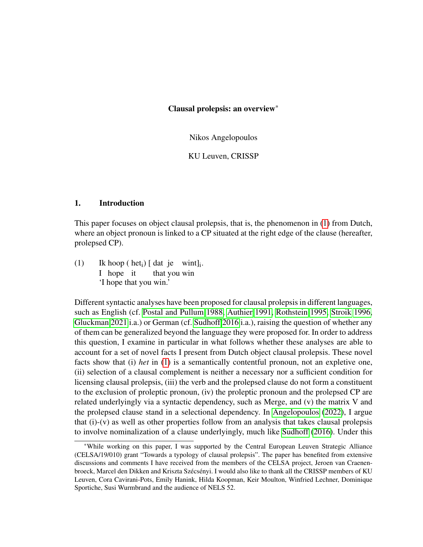Nikos Angelopoulos

KU Leuven, CRISSP

#### 1. Introduction

This paper focuses on object clausal prolepsis, that is, the phenomenon in [\(1\)](#page-0-0) from Dutch, where an object pronoun is linked to a CP situated at the right edge of the clause (hereafter, prolepsed CP).

<span id="page-0-0"></span> $(1)$ I hope it hoop (het<sub>i</sub>) [ dat je wint]<sub>i</sub>. that you win 'I hope that you win.'

Different syntactic analyses have been proposed for clausal prolepsis in different languages, such as English (cf. [Postal and Pullum 1988,](#page-13-0) [Authier 1991,](#page-13-1) [Rothstein 1995,](#page-13-2) [Stroik 1996,](#page-13-3) [Gluckman 2021](#page-13-4) i.a.) or German (cf. [Sudhoff 2016](#page-13-5) i.a.), raising the question of whether any of them can be generalized beyond the language they were proposed for. In order to address this question, I examine in particular in what follows whether these analyses are able to account for a set of novel facts I present from Dutch object clausal prolepsis. These novel facts show that (i) *het* in [\(1\)](#page-0-0) is a semantically contentful pronoun, not an expletive one, (ii) selection of a clausal complement is neither a necessary nor a sufficient condition for licensing clausal prolepsis, (iii) the verb and the prolepsed clause do not form a constituent to the exclusion of proleptic pronoun, (iv) the proleptic pronoun and the prolepsed CP are related underlyingly via a syntactic dependency, such as Merge, and (v) the matrix V and the prolepsed clause stand in a selectional dependency. In [Angelopoulos](#page-13-6) [\(2022\)](#page-13-6), I argue that (i)-(v) as well as other properties follow from an analysis that takes clausal prolepsis to involve nominalization of a clause underlyingly, much like [Sudhoff](#page-13-5) [\(2016\)](#page-13-5). Under this

<sup>\*</sup>While working on this paper, I was supported by the Central European Leuven Strategic Alliance (CELSA/19/010) grant "Towards a typology of clausal prolepsis". The paper has benefited from extensive discussions and comments I have received from the members of the CELSA project, Jeroen van Craenenbroeck, Marcel den Dikken and Kriszta Szécsényi. I would also like to thank all the CRISSP members of KU Leuven, Cora Cavirani-Pots, Emily Hanink, Hilda Koopman, Keir Moulton, Winfried Lechner, Dominique Sportiche, Susi Wurmbrand and the audience of NELS 52.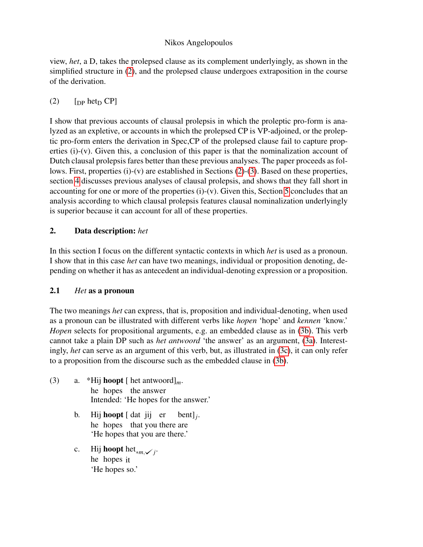view, *het*, a D, takes the prolepsed clause as its complement underlyingly, as shown in the simplified structure in [\(2\)](#page-1-0), and the prolepsed clause undergoes extraposition in the course of the derivation.

# <span id="page-1-0"></span> $(2)$  [DP het<sub>D</sub> CP]

I show that previous accounts of clausal prolepsis in which the proleptic pro-form is analyzed as an expletive, or accounts in which the prolepsed CP is VP-adjoined, or the proleptic pro-form enters the derivation in Spec,CP of the prolepsed clause fail to capture properties (i)-(v). Given this, a conclusion of this paper is that the nominalization account of Dutch clausal prolepsis fares better than these previous analyses. The paper proceeds as follows. First, properties (i)-(v) are established in Sections [\(2\)](#page-1-1)-[\(3\)](#page-2-0). Based on these properties, section [4](#page-9-0) discusses previous analyses of clausal prolepsis, and shows that they fall short in accounting for one or more of the properties  $(i)-(v)$ . Given this, Section [5](#page-12-0) concludes that an analysis according to which clausal prolepsis features clausal nominalization underlyingly is superior because it can account for all of these properties.

# <span id="page-1-1"></span>2. Data description: *het*

In this section I focus on the different syntactic contexts in which *het* is used as a pronoun. I show that in this case *het* can have two meanings, individual or proposition denoting, depending on whether it has as antecedent an individual-denoting expression or a proposition.

## 2.1 *Het* as a pronoun

The two meanings *het* can express, that is, proposition and individual-denoting, when used as a pronoun can be illustrated with different verbs like *hopen* 'hope' and *kennen* 'know.' *Hopen* selects for propositional arguments, e.g. an embedded clause as in [\(3b\)](#page-1-2). This verb cannot take a plain DP such as *het antwoord* 'the answer' as an argument, [\(3a\)](#page-1-3). Interestingly, *het* can serve as an argument of this verb, but, as illustrated in [\(3c\)](#page-1-4), it can only refer to a proposition from the discourse such as the embedded clause in [\(3b\)](#page-1-2).

- <span id="page-1-5"></span><span id="page-1-4"></span><span id="page-1-3"></span><span id="page-1-2"></span>(3) a. \*Hij **hoopt** [ het antwoord]<sub>*m*</sub>. he hopes the answer Intended: 'He hopes for the answer.'
	- b. Hij **hoopt** [dat jij er he hopes that you there are bent]*<sup>j</sup>* . 'He hopes that you are there.'
	- c. Hij **hoopt** het<sub>\**m*</sub>, $\checkmark$ *j*. he hopes it 'He hopes so.'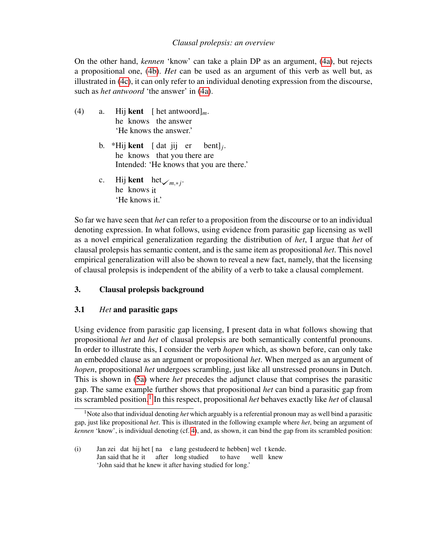On the other hand, *kennen* 'know' can take a plain DP as an argument, [\(4a\)](#page-2-1), but rejects a propositional one, [\(4b\)](#page-2-2). *Het* can be used as an argument of this verb as well but, as illustrated in [\(4c\)](#page-2-3), it can only refer to an individual denoting expression from the discourse, such as *het antwoord* 'the answer' in [\(4a\)](#page-2-1).

- <span id="page-2-5"></span><span id="page-2-2"></span><span id="page-2-1"></span>(4) a. Hij **kent** [ het antwoord]<sub>*m*</sub>. he knows the answer 'He knows the answer.'
	- b. \*Hij **kent** [dat jij er he knows that you there are bent]*<sup>j</sup>* . Intended: 'He knows that you are there.'
	- c. Hij **kent** het *<sub>m,\*j</sub>*. he knows it 'He knows it.'

<span id="page-2-3"></span>So far we have seen that *het* can refer to a proposition from the discourse or to an individual denoting expression. In what follows, using evidence from parasitic gap licensing as well as a novel empirical generalization regarding the distribution of *het*, I argue that *het* of clausal prolepsis has semantic content, and is the same item as propositional *het*. This novel empirical generalization will also be shown to reveal a new fact, namely, that the licensing of clausal prolepsis is independent of the ability of a verb to take a clausal complement.

## <span id="page-2-0"></span>3. Clausal prolepsis background

## 3.1 *Het* and parasitic gaps

Using evidence from parasitic gap licensing, I present data in what follows showing that propositional *het* and *het* of clausal prolepsis are both semantically contentful pronouns. In order to illustrate this, I consider the verb *hopen* which, as shown before, can only take an embedded clause as an argument or propositional *het*. When merged as an argument of *hopen*, propositional *het* undergoes scrambling, just like all unstressed pronouns in Dutch. This is shown in [\(5a\)](#page-3-0) where *het* precedes the adjunct clause that comprises the parasitic gap. The same example further shows that propositional *het* can bind a parasitic gap from its scrambled position.[1](#page-2-4) In this respect, propositional *het* behaves exactly like *het* of clausal

<span id="page-2-4"></span><sup>&</sup>lt;sup>1</sup>Note also that individual denoting *het* which arguably is a referential pronoun may as well bind a parasitic gap, just like propositional *het*. This is illustrated in the following example where *het*, being an argument of *kennen* 'know', is individual denoting (cf. [4\)](#page-2-5), and, as shown, it can bind the gap from its scrambled position:

<sup>(</sup>i) Jan zei dat hij het [ na e lang gestudeerd te hebben] wel t kende. Jan said that he it after long studied to have well knew 'John said that he knew it after having studied for long.'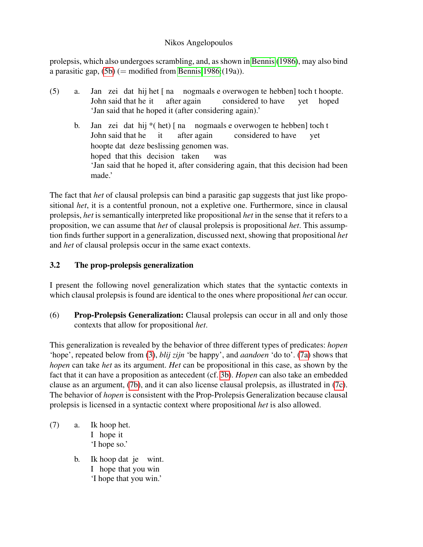prolepsis, which also undergoes scrambling, and, as shown in [Bennis](#page-13-7) [\(1986\)](#page-13-7), may also bind a parasitic gap,  $(5b)$  (= modified from [Bennis 1986:](#page-13-7)(19a)).

<span id="page-3-1"></span><span id="page-3-0"></span>(5) a. Jan zei dat hij het [ na nogmaals e overwogen te hebben] toch t hoopte. John said that he it after again considered to have yet hoped 'Jan said that he hoped it (after considering again).' b. Jan zei dat hij \* (het) [na nogmaals e overwogen te hebben] toch t John said that he it after again considered to have yet hoopte dat deze beslissing genomen was. hoped that this decision taken was 'Jan said that he hoped it, after considering again, that this decision had been made.'

The fact that *het* of clausal prolepsis can bind a parasitic gap suggests that just like propositional *het*, it is a contentful pronoun, not a expletive one. Furthermore, since in clausal prolepsis, *het* is semantically interpreted like propositional *het* in the sense that it refers to a proposition, we can assume that *het* of clausal prolepsis is propositional *het*. This assumption finds further support in a generalization, discussed next, showing that propositional *het* and *het* of clausal prolepsis occur in the same exact contexts.

# 3.2 The prop-prolepsis generalization

I present the following novel generalization which states that the syntactic contexts in which clausal prolepsis is found are identical to the ones where propositional *het* can occur.

(6) Prop-Prolepsis Generalization: Clausal prolepsis can occur in all and only those contexts that allow for propositional *het*.

This generalization is revealed by the behavior of three different types of predicates: *hopen* 'hope', repeated below from [\(3\)](#page-1-5), *blij zijn* 'be happy', and *aandoen* 'do to'. [\(7a\)](#page-3-2) shows that *hopen* can take *het* as its argument. *Het* can be propositional in this case, as shown by the fact that it can have a proposition as antecedent (cf. [3b\)](#page-1-2). *Hopen* can also take an embedded clause as an argument, [\(7b\)](#page-3-3), and it can also license clausal prolepsis, as illustrated in [\(7c\)](#page-4-0). The behavior of *hopen* is consistent with the Prop-Prolepsis Generalization because clausal prolepsis is licensed in a syntactic context where propositional *het* is also allowed.

- <span id="page-3-4"></span><span id="page-3-3"></span><span id="page-3-2"></span> $(7)$  a. I hope it hoop het. 'I hope so.'
	- b. Ik hoop dat je wint. I hope that you win 'I hope that you win.'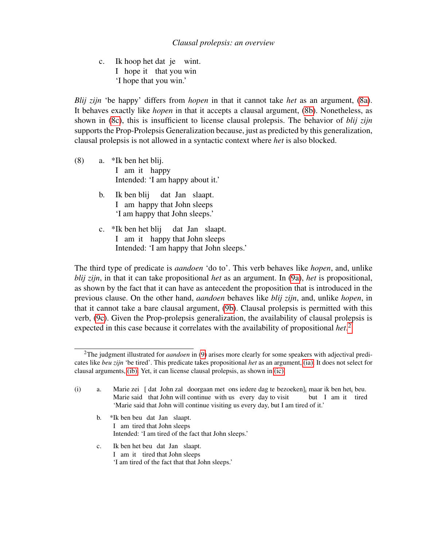<span id="page-4-0"></span>c. I hope it that you win hoop het dat je wint. 'I hope that you win.'

*Blij zijn* 'be happy' differs from *hopen* in that it cannot take *het* as an argument, [\(8a\)](#page-4-1). It behaves exactly like *hopen* in that it accepts a clausal argument, [\(8b\)](#page-4-2). Nonetheless, as shown in [\(8c\)](#page-4-3), this is insufficient to license clausal prolepsis. The behavior of *blij zijn* supports the Prop-Prolepsis Generalization because, just as predicted by this generalization, clausal prolepsis is not allowed in a syntactic context where *het* is also blocked.

- <span id="page-4-2"></span><span id="page-4-1"></span>(8) a. \*Ik ben het blij. I am it happy Intended: 'I am happy about it.'
	- b. Ik ben blij I am happy that John sleeps dat Jan slaapt. 'I am happy that John sleeps.'
	- c. \*Ik ben het blij I am it happy that John sleeps dat Jan slaapt. Intended: 'I am happy that John sleeps.'

<span id="page-4-3"></span>The third type of predicate is *aandoen* 'do to'. This verb behaves like *hopen*, and, unlike *blij zijn*, in that it can take propositional *het* as an argument. In [\(9a\)](#page-5-0), *het* is propositional, as shown by the fact that it can have as antecedent the proposition that is introduced in the previous clause. On the other hand, *aandoen* behaves like *blij zijn*, and, unlike *hopen*, in that it cannot take a bare clausal argument, [\(9b\)](#page-5-1). Clausal prolepsis is permitted with this verb, [\(9c\)](#page-5-2). Given the Prop-prolepsis generalization, the availability of clausal prolepsis is expected in this case because it correlates with the availability of propositional *het*. [2](#page-4-4)

- <span id="page-4-7"></span>b. \*Ik ben beu dat Jan slaapt. I am tired that John sleeps Intended: 'I am tired of the fact that John sleeps.'
- <span id="page-4-8"></span>c. Ik ben het beu dat Jan slaapt. I am it tired that John sleeps 'I am tired of the fact that that John sleeps.'

<span id="page-4-5"></span><span id="page-4-4"></span><sup>2</sup>The judgment illustrated for *aandoen* in [\(9\)](#page-4-5) arises more clearly for some speakers with adjectival predicates like *beu zijn* 'be tired'. This predicate takes propositional *het* as an argument, [\(ia\).](#page-4-6) It does not select for clausal arguments, [\(ib\).](#page-4-7) Yet, it can license clausal prolepsis, as shown in [\(ic\).](#page-4-8)

<span id="page-4-6"></span><sup>(</sup>i) a. Marie zei [dat John zal doorgaan met ons iedere dag te bezoeken]<sub>i</sub> maar ik ben het<sub>i</sub> beu. Marie said that John will continue with us every day to visit but I am it tired 'Marie said that John will continue visiting us every day, but I am tired of it.'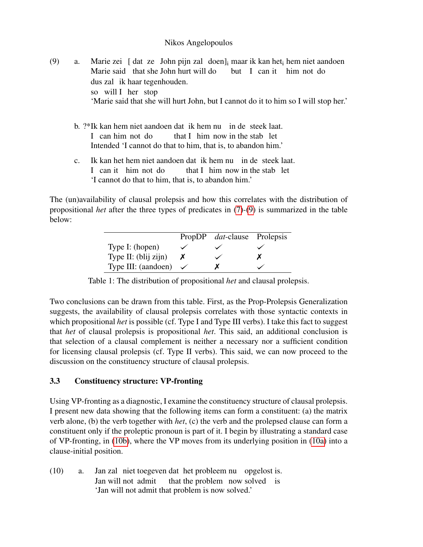- <span id="page-5-1"></span><span id="page-5-0"></span>(9) a. Marie zei [dat ze John pijn zal doen]<sub>i</sub> maar ik kan het<sub>i</sub> hem niet aandoen Marie said that she John hurt will do but I can it him not do dus zal ik haar tegenhouden. so will I her stop 'Marie said that she will hurt John, but I cannot do it to him so I will stop her.'
	- b. ?\*Ik kan hem niet aandoen dat ik hem nu in de steek laat. I can him not do that I him now in the stab let Intended 'I cannot do that to him, that is, to abandon him.'
	- c. I can it him not do kan het hem niet aandoen dat ik hem nu in de steek laat. that I him now in the stab let 'I cannot do that to him, that is, to abandon him.'

<span id="page-5-4"></span><span id="page-5-2"></span>The (un)availability of clausal prolepsis and how this correlates with the distribution of propositional *het* after the three types of predicates in [\(7\)](#page-3-4)-[\(9\)](#page-4-5) is summarized in the table below:

|                      | PropDP <i>dat</i> -clause Prolepsis |  |
|----------------------|-------------------------------------|--|
| Type I: (hopen)      |                                     |  |
| Type II: (blij zijn) |                                     |  |
| Type III: (aandoen)  |                                     |  |

Table 1: The distribution of propositional *het* and clausal prolepsis.

Two conclusions can be drawn from this table. First, as the Prop-Prolepsis Generalization suggests, the availability of clausal prolepsis correlates with those syntactic contexts in which propositional *het* is possible (cf. Type I and Type III verbs). I take this fact to suggest that *het* of clausal prolepsis is propositional *het*. This said, an additional conclusion is that selection of a clausal complement is neither a necessary nor a sufficient condition for licensing clausal prolepsis (cf. Type II verbs). This said, we can now proceed to the discussion on the constituency structure of clausal prolepsis.

## <span id="page-5-5"></span>3.3 Constituency structure: VP-fronting

Using VP-fronting as a diagnostic, I examine the constituency structure of clausal prolepsis. I present new data showing that the following items can form a constituent: (a) the matrix verb alone, (b) the verb together with *het*, (c) the verb and the prolepsed clause can form a constituent only if the proleptic pronoun is part of it. I begin by illustrating a standard case of VP-fronting, in [\(10b\)](#page-6-0), where the VP moves from its underlying position in [\(10a\)](#page-5-3) into a clause-initial position.

<span id="page-5-3"></span> $(10)$  a. Jan will not admit zal niet toegeven dat het probleem nu opgelost is. that the problem now solved is 'Jan will not admit that problem is now solved.'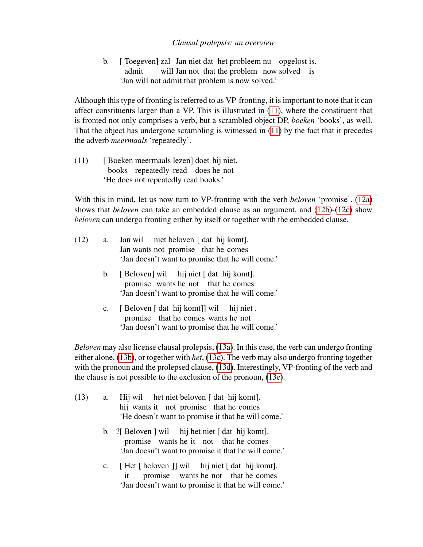<span id="page-6-0"></span>b. [ Toegeven] zal Jan niet dat het probleem nu opgelost is. admit will Jan not that the problem now solved is 'Jan will not admit that problem is now solved.'

Although this type of fronting is referred to as VP-fronting, it is important to note that it can affect constituents larger than a VP. This is illustrated in [\(11\)](#page-6-1), where the constituent that is fronted not only comprises a verb, but a scrambled object DP, *boeken* 'books', as well. That the object has undergone scrambling is witnessed in [\(11\)](#page-6-1) by the fact that it precedes the adverb *meermaals* 'repeatedly'.

<span id="page-6-1"></span>(11) [ Boeken meermaals lezen] doet hij niet. books repeatedly read does he not 'He does not repeatedly read books.'

With this in mind, let us now turn to VP-fronting with the verb *beloven* 'promise'. [\(12a\)](#page-6-2) shows that *beloven* can take an embedded clause as an argument, and [\(12b\)](#page-6-3)-[\(12c\)](#page-6-4) show *beloven* can undergo fronting either by itself or together with the embedded clause.

<span id="page-6-3"></span><span id="page-6-2"></span>

| (12) | a.             | Jan wil niet beloven [dat hij komt].<br>Jan wants not promise that he comes<br>'Jan doesn't want to promise that he will come.'  |
|------|----------------|----------------------------------------------------------------------------------------------------------------------------------|
|      | $b_{1}$        | [Beloven] wil hij niet [dat hij komt].<br>promise wants he not that he comes<br>'Jan doesn't want to promise that he will come.' |
|      | $\mathbf{c}$ . | [Beloven [dat hij komt]] wil hij niet.<br>promise that he comes wants he not<br>'Jan doesn't want to promise that he will come.' |

<span id="page-6-4"></span>*Beloven* may also license clausal prolepsis, [\(13a\)](#page-6-5). In this case, the verb can undergo fronting either alone, [\(13b\)](#page-6-6), or together with *het*, [\(13c\)](#page-6-7). The verb may also undergo fronting together with the pronoun and the prolepsed clause, [\(13d\)](#page-7-0). Interestingly, VP-fronting of the verb and the clause is not possible to the exclusion of the pronoun, [\(13e\)](#page-7-1).

<span id="page-6-8"></span><span id="page-6-7"></span><span id="page-6-6"></span><span id="page-6-5"></span>

| (13) |    | a. Hij wil het niet beloven [dat hij komt].<br>hij wants it not promise that he comes<br>'He doesn't want to promise it that he will come.'                  |
|------|----|--------------------------------------------------------------------------------------------------------------------------------------------------------------|
|      |    | b. $\frac{?}{ }$ [Beloven ] wil hij het niet [dat hij komt].<br>promise wants he it not that he comes<br>'Jan doesn't want to promise it that he will come.' |
|      | c. | [Het [beloven ]] wil hij niet [dat hij komt].<br>it promise wants he not that he comes<br>'Jan doesn't want to promise it that he will come.'                |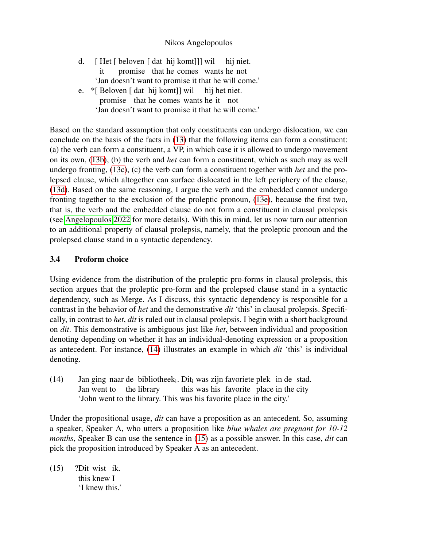- <span id="page-7-0"></span>d. [ Het [ beloven [ dat hij komt]]] wil it promise that he comes wants he not hij niet. 'Jan doesn't want to promise it that he will come.'
- <span id="page-7-1"></span>e. \*[ Beloven [ dat hij komt]] wil promise that he comes wants he it not hij het niet. 'Jan doesn't want to promise it that he will come.'

Based on the standard assumption that only constituents can undergo dislocation, we can conclude on the basis of the facts in [\(13\)](#page-6-8) that the following items can form a constituent: (a) the verb can form a constituent, a VP, in which case it is allowed to undergo movement on its own, [\(13b\)](#page-6-6), (b) the verb and *het* can form a constituent, which as such may as well undergo fronting, [\(13c\)](#page-6-7), (c) the verb can form a constituent together with *het* and the prolepsed clause, which altogether can surface dislocated in the left periphery of the clause, [\(13d\)](#page-7-0). Based on the same reasoning, I argue the verb and the embedded cannot undergo fronting together to the exclusion of the proleptic pronoun, [\(13e\)](#page-7-1), because the first two, that is, the verb and the embedded clause do not form a constituent in clausal prolepsis (see [Angelopoulos 2022](#page-13-6) for more details). With this in mind, let us now turn our attention to an additional property of clausal prolepsis, namely, that the proleptic pronoun and the prolepsed clause stand in a syntactic dependency.

### 3.4 Proform choice

Using evidence from the distribution of the proleptic pro-forms in clausal prolepsis, this section argues that the proleptic pro-form and the prolepsed clause stand in a syntactic dependency, such as Merge. As I discuss, this syntactic dependency is responsible for a contrast in the behavior of *het* and the demonstrative *dit* 'this' in clausal prolepsis. Specifically, in contrast to *het*, *dit* is ruled out in clausal prolepsis. I begin with a short background on *dit*. This demonstrative is ambiguous just like *het*, between individual and proposition denoting depending on whether it has an individual-denoting expression or a proposition as antecedent. For instance, [\(14\)](#page-7-2) illustrates an example in which *dit* 'this' is individual denoting.

<span id="page-7-2"></span> $(14)$ Jan went to ging naar de bibliotheek<sub>i</sub>. Dit<sub>i</sub> was zijn favoriete plek in de stad. the library this was his favorite place in the city 'John went to the library. This was his favorite place in the city.'

Under the propositional usage, *dit* can have a proposition as an antecedent. So, assuming a speaker, Speaker A, who utters a proposition like *blue whales are pregnant for 10-12 months*, Speaker B can use the sentence in [\(15\)](#page-7-3) as a possible answer. In this case, *dit* can pick the proposition introduced by Speaker A as an antecedent.

<span id="page-7-3"></span> $(15)$ this knew I wist ik. 'I knew this.'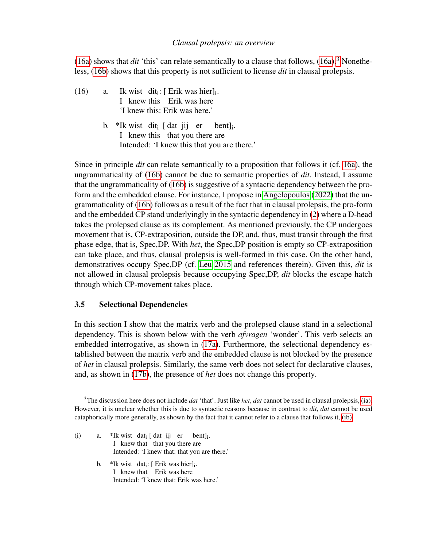[\(16a\)](#page-8-0) shows that *dit* 'this' can relate semantically to a clause that follows,  $(16a)$ <sup>[3](#page-8-1)</sup>. Nonetheless, [\(16b\)](#page-8-2) shows that this property is not sufficient to license *dit* in clausal prolepsis.

- <span id="page-8-2"></span><span id="page-8-0"></span> $(16)$  a. I knew this Erik was here wist dit<sub>i</sub>: [ Erik was hier]<sub>i</sub>. 'I knew this: Erik was here.'
	- b. \*Ik wist dit<sub>i</sub> [ dat jij er I knew this that you there are bent]<sup>i</sup> . Intended: 'I knew this that you are there.'

Since in principle *dit* can relate semantically to a proposition that follows it (cf. [16a\)](#page-8-0), the ungrammaticality of [\(16b\)](#page-8-2) cannot be due to semantic properties of *dit*. Instead, I assume that the ungrammaticality of [\(16b\)](#page-8-2) is suggestive of a syntactic dependency between the proform and the embedded clause. For instance, I propose in [Angelopoulos](#page-13-6) [\(2022\)](#page-13-6) that the ungrammaticality of [\(16b\)](#page-8-2) follows as a result of the fact that in clausal prolepsis, the pro-form and the embedded CP stand underlyingly in the syntactic dependency in [\(2\)](#page-1-0) where a D-head takes the prolepsed clause as its complement. As mentioned previously, the CP undergoes movement that is, CP-extraposition, outside the DP, and, thus, must transit through the first phase edge, that is, Spec,DP. With *het*, the Spec,DP position is empty so CP-extraposition can take place, and thus, clausal prolepsis is well-formed in this case. On the other hand, demonstratives occupy Spec,DP (cf. [Leu 2015](#page-13-8) and references therein). Given this, *dit* is not allowed in clausal prolepsis because occupying Spec,DP, *dit* blocks the escape hatch through which CP-movement takes place.

#### <span id="page-8-5"></span>3.5 Selectional Dependencies

In this section I show that the matrix verb and the prolepsed clause stand in a selectional dependency. This is shown below with the verb *afvragen* 'wonder'. This verb selects an embedded interrogative, as shown in [\(17a\)](#page-9-1). Furthermore, the selectional dependency established between the matrix verb and the embedded clause is not blocked by the presence of *het* in clausal prolepsis. Similarly, the same verb does not select for declarative clauses, and, as shown in [\(17b\)](#page-9-2), the presence of *het* does not change this property.

- <span id="page-8-4"></span><span id="page-8-3"></span>(i) a. \*Ik wist dat<sub>i</sub> [ dat jij er bent]<sub>i</sub>. I knew that that you there are Intended: 'I knew that: that you are there.'
	- b. \*Ik wist dat<sub>i</sub>: [ Erik was hier]<sub>i</sub>. I knew that Erik was here Intended: 'I knew that: Erik was here.'

<span id="page-8-1"></span><sup>3</sup>The discussion here does not include *dat* 'that'. Just like *het*, *dat* cannot be used in clausal prolepsis, [\(ia\).](#page-8-3) However, it is unclear whether this is due to syntactic reasons because in contrast to *dit*, *dat* cannot be used cataphorically more generally, as shown by the fact that it cannot refer to a clause that follows it, [\(ib\).](#page-8-4)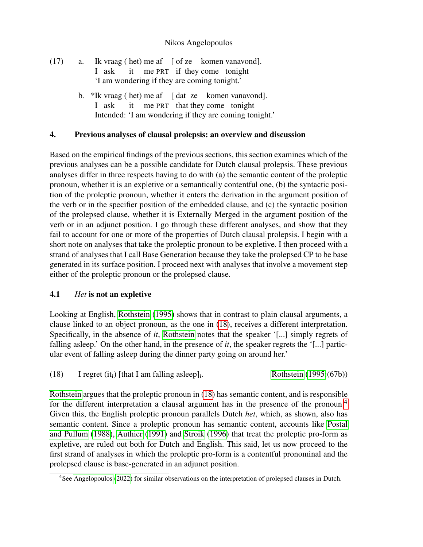- <span id="page-9-2"></span><span id="page-9-1"></span> $(17)$  a. I ask vraag ( het) me af [ of ze komen vanavond]. it me PRT if they come tonight 'I am wondering if they are coming tonight.'
	- b. \*Ik vraag ( het) me af [ dat ze komen vanavond]. I ask it me PRT that they come tonight Intended: 'I am wondering if they are coming tonight.'

### <span id="page-9-0"></span>4. Previous analyses of clausal prolepsis: an overview and discussion

Based on the empirical findings of the previous sections, this section examines which of the previous analyses can be a possible candidate for Dutch clausal prolepsis. These previous analyses differ in three respects having to do with (a) the semantic content of the proleptic pronoun, whether it is an expletive or a semantically contentful one, (b) the syntactic position of the proleptic pronoun, whether it enters the derivation in the argument position of the verb or in the specifier position of the embedded clause, and (c) the syntactic position of the prolepsed clause, whether it is Externally Merged in the argument position of the verb or in an adjunct position. I go through these different analyses, and show that they fail to account for one or more of the properties of Dutch clausal prolepsis. I begin with a short note on analyses that take the proleptic pronoun to be expletive. I then proceed with a strand of analyses that I call Base Generation because they take the prolepsed CP to be base generated in its surface position. I proceed next with analyses that involve a movement step either of the proleptic pronoun or the prolepsed clause.

## 4.1 *Het* is not an expletive

Looking at English, [Rothstein](#page-13-2) [\(1995\)](#page-13-2) shows that in contrast to plain clausal arguments, a clause linked to an object pronoun, as the one in [\(18\)](#page-9-3), receives a different interpretation. Specifically, in the absence of *it*, [Rothstein](#page-13-2) notes that the speaker '[...] simply regrets of falling asleep.' On the other hand, in the presence of *it*, the speaker regrets the '[...] particular event of falling asleep during the dinner party going on around her.'

<span id="page-9-3"></span>(18) I regret (it<sub>i</sub>) [that I am falling asleep]<sub>i</sub> . [Rothstein](#page-13-2) [\(1995:](#page-13-2)(67b))

[Rothstein](#page-13-2) argues that the proleptic pronoun in [\(18\)](#page-9-3) has semantic content, and is responsible for the different interpretation a clausal argument has in the presence of the pronoun.<sup>[4](#page-9-4)</sup> Given this, the English proleptic pronoun parallels Dutch *het*, which, as shown, also has semantic content. Since a proleptic pronoun has semantic content, accounts like [Postal](#page-13-0) [and Pullum](#page-13-0) [\(1988\)](#page-13-0), [Authier](#page-13-1) [\(1991\)](#page-13-1) and [Stroik](#page-13-3) [\(1996\)](#page-13-3) that treat the proleptic pro-form as expletive, are ruled out both for Dutch and English. This said, let us now proceed to the first strand of analyses in which the proleptic pro-form is a contentful pronominal and the prolepsed clause is base-generated in an adjunct position.

<span id="page-9-4"></span><sup>&</sup>lt;sup>4</sup>See [Angelopoulos](#page-13-6) [\(2022\)](#page-13-6) for similar observations on the interpretation of prolepsed clauses in Dutch.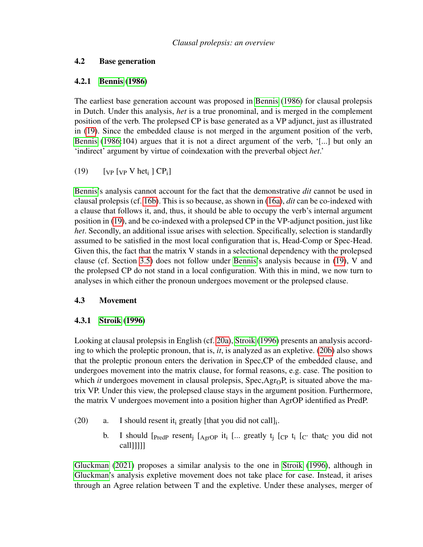#### 4.2 Base generation

### 4.2.1 [Bennis](#page-13-7) [\(1986\)](#page-13-7)

The earliest base generation account was proposed in [Bennis](#page-13-7) [\(1986\)](#page-13-7) for clausal prolepsis in Dutch. Under this analysis, *het* is a true pronominal, and is merged in the complement position of the verb. The prolepsed CP is base generated as a VP adjunct, just as illustrated in [\(19\)](#page-10-0). Since the embedded clause is not merged in the argument position of the verb, [Bennis](#page-13-7) [\(1986:](#page-13-7)104) argues that it is not a direct argument of the verb, '[...] but only an 'indirect' argument by virtue of coindexation with the preverbal object *het*.'

<span id="page-10-0"></span>(19)  $[\text{VP} \text{Vp} \text{V} \text{het}_{i} \text{]} \text{CP}_{i}]$ 

[Bennis'](#page-13-7)s analysis cannot account for the fact that the demonstrative *dit* cannot be used in clausal prolepsis (cf. [16b\)](#page-8-2). This is so because, as shown in [\(16a\)](#page-8-0), *dit* can be co-indexed with a clause that follows it, and, thus, it should be able to occupy the verb's internal argument position in [\(19\)](#page-10-0), and be co-indexed with a prolepsed CP in the VP-adjunct position, just like *het*. Secondly, an additional issue arises with selection. Specifically, selection is standardly assumed to be satisfied in the most local configuration that is, Head-Comp or Spec-Head. Given this, the fact that the matrix V stands in a selectional dependency with the prolepsed clause (cf. Section [3.5\)](#page-8-5) does not follow under [Bennis'](#page-13-7)s analysis because in [\(19\)](#page-10-0), V and the prolepsed CP do not stand in a local configuration. With this in mind, we now turn to analyses in which either the pronoun undergoes movement or the prolepsed clause.

## 4.3 Movement

## 4.3.1 [Stroik](#page-13-3) [\(1996\)](#page-13-3)

Looking at clausal prolepsis in English (cf. [20a\)](#page-10-1), [Stroik](#page-13-3) [\(1996\)](#page-13-3) presents an analysis according to which the proleptic pronoun, that is, *it*, is analyzed as an expletive. [\(20b\)](#page-10-2) also shows that the proleptic pronoun enters the derivation in Spec,CP of the embedded clause, and undergoes movement into the matrix clause, for formal reasons, e.g. case. The position to which *it* undergoes movement in clausal prolepsis,  $Spec, Agr<sub>0</sub>P$ , is situated above the matrix VP. Under this view, the prolepsed clause stays in the argument position. Furthermore, the matrix V undergoes movement into a position higher than AgrOP identified as PredP.

- <span id="page-10-2"></span><span id="page-10-1"></span>(20) a. I should resent it greatly [that you did not call].
	- b. I should  $[$ <sub>PredP</sub> resent<sub>j</sub>  $[$ <sub>AgrOP</sub> it<sub>i</sub>  $[$ ... greatly t<sub>j</sub>  $[$ <sub>CP</sub> t<sub>i</sub>  $[$ <sub>C</sub><sup> $]$ </sup> that<sub>C</sub> you did not call]]]]]

[Gluckman](#page-13-4) [\(2021\)](#page-13-4) proposes a similar analysis to the one in [Stroik](#page-13-3) [\(1996\)](#page-13-3), although in [Gluckman'](#page-13-4)s analysis expletive movement does not take place for case. Instead, it arises through an Agree relation between T and the expletive. Under these analyses, merger of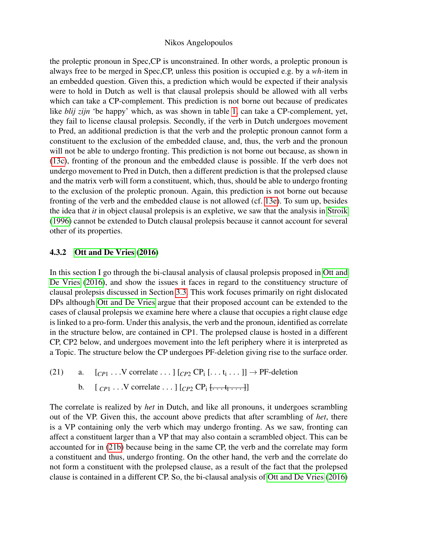the proleptic pronoun in Spec,CP is unconstrained. In other words, a proleptic pronoun is always free to be merged in Spec,CP, unless this position is occupied e.g. by a *wh-*item in an embedded question. Given this, a prediction which would be expected if their analysis were to hold in Dutch as well is that clausal prolepsis should be allowed with all verbs which can take a CP-complement. This prediction is not borne out because of predicates like *blij zijn* 'be happy' which, as was shown in table [1,](#page-5-4) can take a CP-complement, yet, they fail to license clausal prolepsis. Secondly, if the verb in Dutch undergoes movement to Pred, an additional prediction is that the verb and the proleptic pronoun cannot form a constituent to the exclusion of the embedded clause, and, thus, the verb and the pronoun will not be able to undergo fronting. This prediction is not borne out because, as shown in [\(13c\)](#page-6-7), fronting of the pronoun and the embedded clause is possible. If the verb does not undergo movement to Pred in Dutch, then a different prediction is that the prolepsed clause and the matrix verb will form a constituent, which, thus, should be able to undergo fronting to the exclusion of the proleptic pronoun. Again, this prediction is not borne out because fronting of the verb and the embedded clause is not allowed (cf. [13e\)](#page-7-1). To sum up, besides the idea that *it* in object clausal prolepsis is an expletive, we saw that the analysis in [Stroik](#page-13-3) [\(1996\)](#page-13-3) cannot be extended to Dutch clausal prolepsis because it cannot account for several other of its properties.

#### 4.3.2 [Ott and De Vries](#page-13-9) [\(2016\)](#page-13-9)

In this section I go through the bi-clausal analysis of clausal prolepsis proposed in [Ott and](#page-13-9) [De Vries](#page-13-9) [\(2016\)](#page-13-9), and show the issues it faces in regard to the constituency structure of clausal prolepsis discussed in Section [3.3.](#page-5-5) This work focuses primarily on right dislocated DPs although [Ott and De Vries](#page-13-9) argue that their proposed account can be extended to the cases of clausal prolepsis we examine here where a clause that occupies a right clause edge is linked to a pro-form. Under this analysis, the verb and the pronoun, identified as correlate in the structure below, are contained in CP1. The prolepsed clause is hosted in a different CP, CP2 below, and undergoes movement into the left periphery where it is interpreted as a Topic. The structure below the CP undergoes PF-deletion giving rise to the surface order.

<span id="page-11-0"></span>(21) a.  $[c_{P1} \dots V \text{ correlate} \dots] [c_{P2} \text{ CP}_i [ \dots t_i \dots]] \rightarrow \text{PF-deletion}$ b.  $[_{CP1} \dots V \text{ correlate} \dots] [_{CP2} \text{ CP}_1 \dots t_1 \dots]$ 

The correlate is realized by *het* in Dutch, and like all pronouns, it undergoes scrambling out of the VP. Given this, the account above predicts that after scrambling of *het*, there is a VP containing only the verb which may undergo fronting. As we saw, fronting can affect a constituent larger than a VP that may also contain a scrambled object. This can be accounted for in [\(21b\)](#page-11-0) because being in the same CP, the verb and the correlate may form a constituent and thus, undergo fronting. On the other hand, the verb and the correlate do not form a constituent with the prolepsed clause, as a result of the fact that the prolepsed clause is contained in a different CP. So, the bi-clausal analysis of [Ott and De Vries](#page-13-9) [\(2016\)](#page-13-9)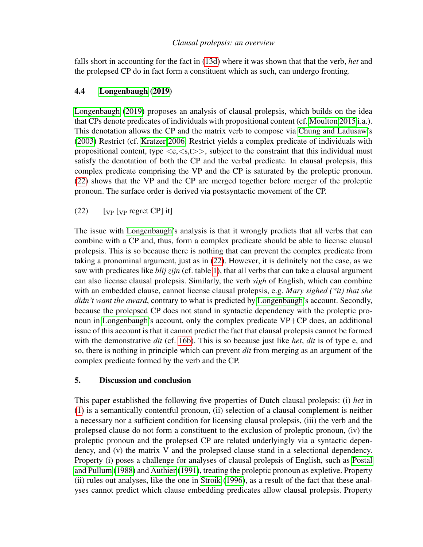falls short in accounting for the fact in [\(13d\)](#page-7-0) where it was shown that that the verb, *het* and the prolepsed CP do in fact form a constituent which as such, can undergo fronting.

# 4.4 [Longenbaugh](#page-13-10) [\(2019\)](#page-13-10)

[Longenbaugh](#page-13-10) [\(2019\)](#page-13-10) proposes an analysis of clausal prolepsis, which builds on the idea that CPs denote predicates of individuals with propositional content (cf. [Moulton 2015](#page-13-11) i.a.). This denotation allows the CP and the matrix verb to compose via [Chung and Ladusaw'](#page-13-12)s [\(2003\)](#page-13-12) Restrict (cf. [Kratzer 2006.](#page-13-13) Restrict yields a complex predicate of individuals with propositional content, type  $\langle e, \langle s,t \rangle \rangle$ , subject to the constraint that this individual must satisfy the denotation of both the CP and the verbal predicate. In clausal prolepsis, this complex predicate comprising the VP and the CP is saturated by the proleptic pronoun. [\(22\)](#page-12-1) shows that the VP and the CP are merged together before merger of the proleptic pronoun. The surface order is derived via postsyntactic movement of the CP.

<span id="page-12-1"></span> $(22)$  [vp [vp regret CP] it]

The issue with [Longenbaugh'](#page-13-10)s analysis is that it wrongly predicts that all verbs that can combine with a CP and, thus, form a complex predicate should be able to license clausal prolepsis. This is so because there is nothing that can prevent the complex predicate from taking a pronominal argument, just as in [\(22\)](#page-12-1). However, it is definitely not the case, as we saw with predicates like *blij zijn* (cf. table [1\)](#page-5-4), that all verbs that can take a clausal argument can also license clausal prolepsis. Similarly, the verb *sigh* of English, which can combine with an embedded clause, cannot license clausal prolepsis, e.g. *Mary sighed (\*it) that she didn't want the award*, contrary to what is predicted by [Longenbaugh'](#page-13-10)s account. Secondly, because the prolepsed CP does not stand in syntactic dependency with the proleptic pronoun in [Longenbaugh'](#page-13-10)s account, only the complex predicate VP+CP does, an additional issue of this account is that it cannot predict the fact that clausal prolepsis cannot be formed with the demonstrative *dit* (cf. [16b\)](#page-8-2). This is so because just like *het*, *dit* is of type e, and so, there is nothing in principle which can prevent *dit* from merging as an argument of the complex predicate formed by the verb and the CP.

## <span id="page-12-0"></span>5. Discussion and conclusion

This paper established the following five properties of Dutch clausal prolepsis: (i) *het* in [\(1\)](#page-0-0) is a semantically contentful pronoun, (ii) selection of a clausal complement is neither a necessary nor a sufficient condition for licensing clausal prolepsis, (iii) the verb and the prolepsed clause do not form a constituent to the exclusion of proleptic pronoun, (iv) the proleptic pronoun and the prolepsed CP are related underlyingly via a syntactic dependency, and (v) the matrix V and the prolepsed clause stand in a selectional dependency. Property (i) poses a challenge for analyses of clausal prolepsis of English, such as [Postal](#page-13-0) [and Pullum](#page-13-0) [\(1988\)](#page-13-0) and [Authier](#page-13-1) [\(1991\)](#page-13-1), treating the proleptic pronoun as expletive. Property (ii) rules out analyses, like the one in [Stroik](#page-13-3) [\(1996\)](#page-13-3), as a result of the fact that these analyses cannot predict which clause embedding predicates allow clausal prolepsis. Property